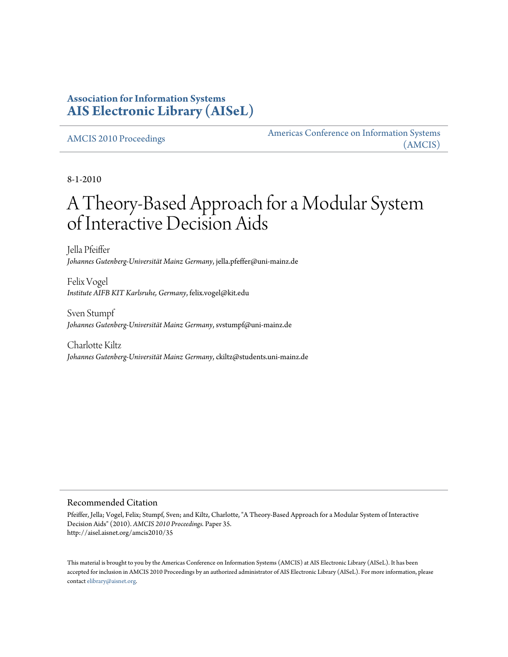## **Association for Information Systems [AIS Electronic Library \(AISeL\)](http://aisel.aisnet.org)**

[AMCIS 2010 Proceedings](http://aisel.aisnet.org/amcis2010) [Americas Conference on Information Systems](http://aisel.aisnet.org/amcis) [\(AMCIS\)](http://aisel.aisnet.org/amcis)

8-1-2010

# A Theory-Based Approach for a Modular System of Interactive Decision Aids

Jella Pfeiffer *Johannes Gutenberg-Universität Mainz Germany*, jella.pfeffer@uni-mainz.de

Felix Vogel *Institute AIFB KIT Karlsruhe, Germany*, felix.vogel@kit.edu

Sven Stumpf *Johannes Gutenberg-Universität Mainz Germany*, svstumpf@uni-mainz.de

Charlotte Kiltz *Johannes Gutenberg-Universität Mainz Germany*, ckiltz@students.uni-mainz.de

#### Recommended Citation

Pfeiffer, Jella; Vogel, Felix; Stumpf, Sven; and Kiltz, Charlotte, "A Theory-Based Approach for a Modular System of Interactive Decision Aids" (2010). *AMCIS 2010 Proceedings.* Paper 35. http://aisel.aisnet.org/amcis2010/35

This material is brought to you by the Americas Conference on Information Systems (AMCIS) at AIS Electronic Library (AISeL). It has been accepted for inclusion in AMCIS 2010 Proceedings by an authorized administrator of AIS Electronic Library (AISeL). For more information, please contact [elibrary@aisnet.org.](mailto:elibrary@aisnet.org>)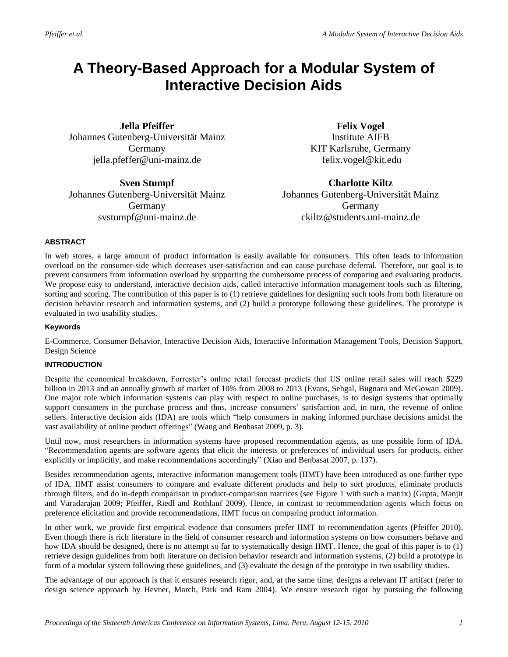# **A Theory-Based Approach for a Modular System of Interactive Decision Aids**

**Jella Pfeiffer** Johannes Gutenberg-Universität Mainz Germany jella.pfeffer@uni-mainz.de

**Sven Stumpf** Johannes Gutenberg-Universität Mainz Germany svstumpf@uni-mainz.de

**Felix Vogel** Institute AIFB KIT Karlsruhe, Germany felix.vogel@kit.edu

**Charlotte Kiltz** Johannes Gutenberg-Universität Mainz Germany ckiltz@students.uni-mainz.de

#### **ABSTRACT**

In web stores, a large amount of product information is easily available for consumers. This often leads to information overload on the consumer-side which decreases user-satisfaction and can cause purchase deferral. Therefore, our goal is to prevent consumers from information overload by supporting the cumbersome process of comparing and evaluating products. We propose easy to understand, interactive decision aids, called interactive information management tools such as filtering, sorting and scoring. The contribution of this paper is to (1) retrieve guidelines for designing such tools from both literature on decision behavior research and information systems, and (2) build a prototype following these guidelines. The prototype is evaluated in two usability studies.

#### **Keywords**

E-Commerce, Consumer Behavior, Interactive Decision Aids, Interactive Information Management Tools, Decision Support, Design Science

#### **INTRODUCTION**

Despite the economical breakdown, Forrester's online retail forecast predicts that US online retail sales will reach \$229 billion in 2013 and an annually growth of market of 10% from 2008 to 2013 (Evans, Sehgal, Bugnaru and McGowan 2009). One major role which information systems can play with respect to online purchases, is to design systems that optimally support consumers in the purchase process and thus, increase consumers' satisfaction and, in turn, the revenue of online sellers. Interactive decision aids (IDA) are tools which "help consumers in making informed purchase decisions amidst the vast availability of online product offerings" (Wang and Benbasat 2009, p. 3).

Until now, most researchers in information systems have proposed recommendation agents, as one possible form of IDA. "Recommendation agents are software agents that elicit the interests or preferences of individual users for products, either explicitly or implicitly, and make recommendations accordingly" (Xiao and Benbasat 2007, p. 137).

Besides recommendation agents, interactive information management tools (IIMT) have been introduced as one further type of IDA. IIMT assist consumers to compare and evaluate different products and help to sort products, eliminate products through filters, and do in-depth comparison in product-comparison matrices (see Figure 1 with such a matrix) (Gupta, Manjit and Varadarajan 2009; Pfeiffer, Riedl and Rothlauf 2009). Hence, in contrast to recommendation agents which focus on preference elicitation and provide recommendations, IIMT focus on comparing product information.

In other work, we provide first empirical evidence that consumers prefer IIMT to recommendation agents (Pfeiffer 2010). Even though there is rich literature in the field of consumer research and information systems on how consumers behave and how IDA should be designed, there is no attempt so far to systematically design IIMT. Hence, the goal of this paper is to (1) retrieve design guidelines from both literature on decision behavior research and information systems, (2) build a prototype in form of a modular system following these guidelines, and (3) evaluate the design of the prototype in two usability studies.

The advantage of our approach is that it ensures research rigor, and, at the same time, designs a relevant IT artifact (refer to design science approach by Hevner, March, Park and Ram 2004). We ensure research rigor by pursuing the following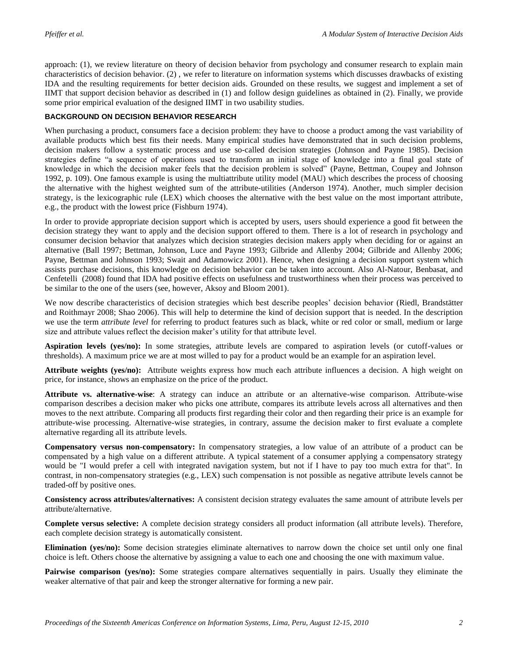approach: (1), we review literature on theory of decision behavior from psychology and consumer research to explain main characteristics of decision behavior. (2) , we refer to literature on information systems which discusses drawbacks of existing IDA and the resulting requirements for better decision aids. Grounded on these results, we suggest and implement a set of IIMT that support decision behavior as described in (1) and follow design guidelines as obtained in (2). Finally, we provide some prior empirical evaluation of the designed IIMT in two usability studies.

#### **BACKGROUND ON DECISION BEHAVIOR RESEARCH**

When purchasing a product, consumers face a decision problem: they have to choose a product among the vast variability of available products which best fits their needs. Many empirical studies have demonstrated that in such decision problems, decision makers follow a systematic process and use so-called decision strategies (Johnson and Payne 1985). Decision strategies define "a sequence of operations used to transform an initial stage of knowledge into a final goal state of knowledge in which the decision maker feels that the decision problem is solved" (Payne, Bettman, Coupey and Johnson 1992, p. 109). One famous example is using the multiattribute utility model (MAU) which describes the process of choosing the alternative with the highest weighted sum of the attribute-utilities (Anderson 1974). Another, much simpler decision strategy, is the lexicographic rule (LEX) which chooses the alternative with the best value on the most important attribute, e.g., the product with the lowest price (Fishburn 1974).

In order to provide appropriate decision support which is accepted by users, users should experience a good fit between the decision strategy they want to apply and the decision support offered to them. There is a lot of research in psychology and consumer decision behavior that analyzes which decision strategies decision makers apply when deciding for or against an alternative (Ball 1997; Bettman, Johnson, Luce and Payne 1993; Gilbride and Allenby 2004; Gilbride and Allenby 2006; Payne, Bettman and Johnson 1993; Swait and Adamowicz 2001). Hence, when designing a decision support system which assists purchase decisions, this knowledge on decision behavior can be taken into account. Also Al-Natour, Benbasat, and Cenfetelli (2008) found that IDA had positive effects on usefulness and trustworthiness when their process was perceived to be similar to the one of the users (see, however, Aksoy and Bloom 2001).

We now describe characteristics of decision strategies which best describe peoples' decision behavior (Riedl, Brandstätter and Roithmayr 2008; Shao 2006). This will help to determine the kind of decision support that is needed. In the description we use the term *attribute level* for referring to product features such as black, white or red color or small, medium or large size and attribute values reflect the decision maker's utility for that attribute level.

**Aspiration levels (yes/no):** In some strategies, attribute levels are compared to aspiration levels (or cutoff-values or thresholds). A maximum price we are at most willed to pay for a product would be an example for an aspiration level.

**Attribute weights (yes/no):** Attribute weights express how much each attribute influences a decision. A high weight on price, for instance, shows an emphasize on the price of the product.

**Attribute vs. alternative-wise**: A strategy can induce an attribute or an alternative-wise comparison. Attribute-wise comparison describes a decision maker who picks one attribute, compares its attribute levels across all alternatives and then moves to the next attribute. Comparing all products first regarding their color and then regarding their price is an example for attribute-wise processing. Alternative-wise strategies, in contrary, assume the decision maker to first evaluate a complete alternative regarding all its attribute levels.

**Compensatory versus non-compensatory:** In compensatory strategies, a low value of an attribute of a product can be compensated by a high value on a different attribute. A typical statement of a consumer applying a compensatory strategy would be "I would prefer a cell with integrated navigation system, but not if I have to pay too much extra for that". In contrast, in non-compensatory strategies (e.g., LEX) such compensation is not possible as negative attribute levels cannot be traded-off by positive ones.

**Consistency across attributes/alternatives:** A consistent decision strategy evaluates the same amount of attribute levels per attribute/alternative.

**Complete versus selective:** A complete decision strategy considers all product information (all attribute levels). Therefore, each complete decision strategy is automatically consistent.

**Elimination (yes/no):** Some decision strategies eliminate alternatives to narrow down the choice set until only one final choice is left. Others choose the alternative by assigning a value to each one and choosing the one with maximum value.

**Pairwise comparison** (yes/no): Some strategies compare alternatives sequentially in pairs. Usually they eliminate the weaker alternative of that pair and keep the stronger alternative for forming a new pair.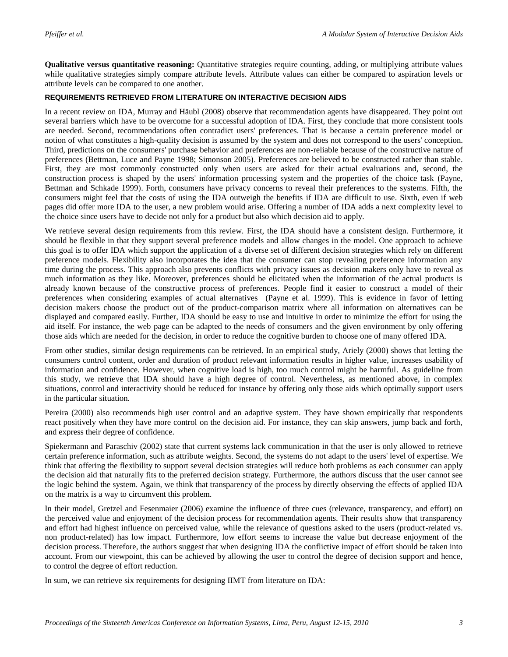**Qualitative versus quantitative reasoning:** Quantitative strategies require counting, adding, or multiplying attribute values while qualitative strategies simply compare attribute levels. Attribute values can either be compared to aspiration levels or attribute levels can be compared to one another.

#### **REQUIREMENTS RETRIEVED FROM LITERATURE ON INTERACTIVE DECISION AIDS**

In a recent review on IDA, Murray and Häubl (2008) observe that recommendation agents have disappeared. They point out several barriers which have to be overcome for a successful adoption of IDA. First, they conclude that more consistent tools are needed. Second, recommendations often contradict users' preferences. That is because a certain preference model or notion of what constitutes a high-quality decision is assumed by the system and does not correspond to the users' conception. Third, predictions on the consumers' purchase behavior and preferences are non-reliable because of the constructive nature of preferences (Bettman, Luce and Payne 1998; Simonson 2005). Preferences are believed to be constructed rather than stable. First, they are most commonly constructed only when users are asked for their actual evaluations and, second, the construction process is shaped by the users' information processing system and the properties of the choice task (Payne, Bettman and Schkade 1999). Forth, consumers have privacy concerns to reveal their preferences to the systems. Fifth, the consumers might feel that the costs of using the IDA outweigh the benefits if IDA are difficult to use. Sixth, even if web pages did offer more IDA to the user, a new problem would arise. Offering a number of IDA adds a next complexity level to the choice since users have to decide not only for a product but also which decision aid to apply.

We retrieve several design requirements from this review. First, the IDA should have a consistent design. Furthermore, it should be flexible in that they support several preference models and allow changes in the model. One approach to achieve this goal is to offer IDA which support the application of a diverse set of different decision strategies which rely on different preference models. Flexibility also incorporates the idea that the consumer can stop revealing preference information any time during the process. This approach also prevents conflicts with privacy issues as decision makers only have to reveal as much information as they like. Moreover, preferences should be elicitated when the information of the actual products is already known because of the constructive process of preferences. People find it easier to construct a model of their preferences when considering examples of actual alternatives (Payne et al. 1999). This is evidence in favor of letting decision makers choose the product out of the product-comparison matrix where all information on alternatives can be displayed and compared easily. Further, IDA should be easy to use and intuitive in order to minimize the effort for using the aid itself. For instance, the web page can be adapted to the needs of consumers and the given environment by only offering those aids which are needed for the decision, in order to reduce the cognitive burden to choose one of many offered IDA.

From other studies, similar design requirements can be retrieved. In an empirical study, Ariely (2000) shows that letting the consumers control content, order and duration of product relevant information results in higher value, increases usability of information and confidence. However, when cognitive load is high, too much control might be harmful. As guideline from this study, we retrieve that IDA should have a high degree of control. Nevertheless, as mentioned above, in complex situations, control and interactivity should be reduced for instance by offering only those aids which optimally support users in the particular situation.

Pereira (2000) also recommends high user control and an adaptive system. They have shown empirically that respondents react positively when they have more control on the decision aid. For instance, they can skip answers, jump back and forth, and express their degree of confidence.

Spiekermann and Paraschiv (2002) state that current systems lack communication in that the user is only allowed to retrieve certain preference information, such as attribute weights. Second, the systems do not adapt to the users' level of expertise. We think that offering the flexibility to support several decision strategies will reduce both problems as each consumer can apply the decision aid that naturally fits to the preferred decision strategy. Furthermore, the authors discuss that the user cannot see the logic behind the system. Again, we think that transparency of the process by directly observing the effects of applied IDA on the matrix is a way to circumvent this problem.

In their model, Gretzel and Fesenmaier (2006) examine the influence of three cues (relevance, transparency, and effort) on the perceived value and enjoyment of the decision process for recommendation agents. Their results show that transparency and effort had highest influence on perceived value, while the relevance of questions asked to the users (product-related vs. non product-related) has low impact. Furthermore, low effort seems to increase the value but decrease enjoyment of the decision process. Therefore, the authors suggest that when designing IDA the conflictive impact of effort should be taken into account. From our viewpoint, this can be achieved by allowing the user to control the degree of decision support and hence, to control the degree of effort reduction.

In sum, we can retrieve six requirements for designing IIMT from literature on IDA: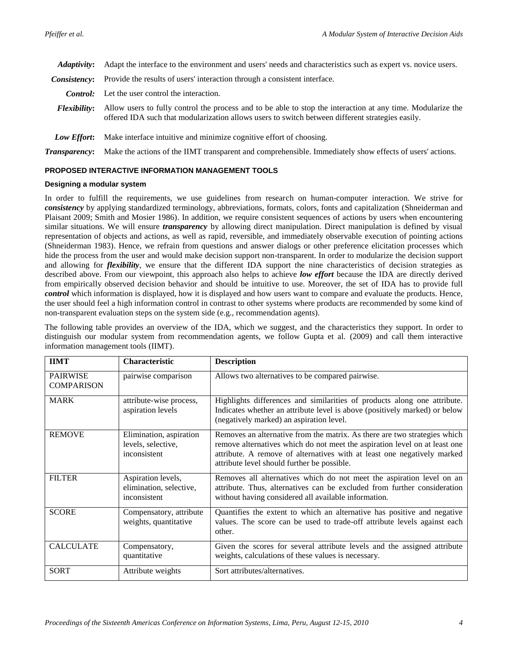Adaptivity: Adapt the interface to the environment and users' needs and characteristics such as expert vs. novice users.

- *Consistency*: Provide the results of users' interaction through a consistent interface.
- *Control:* Let the user control the interaction.
- *Flexibility***:** Allow users to fully control the process and to be able to stop the interaction at any time. Modularize the offered IDA such that modularization allows users to switch between different strategies easily.
- *Low Effort***:** Make interface intuitive and minimize cognitive effort of choosing.

*Transparency***:** Make the actions of the IIMT transparent and comprehensible. Immediately show effects of users' actions.

#### **PROPOSED INTERACTIVE INFORMATION MANAGEMENT TOOLS**

#### **Designing a modular system**

In order to fulfill the requirements, we use guidelines from research on human-computer interaction. We strive for *consistency* by applying standardized terminology, abbreviations, formats, colors, fonts and capitalization (Shneiderman and Plaisant 2009; Smith and Mosier 1986). In addition, we require consistent sequences of actions by users when encountering similar situations. We will ensure *transparency* by allowing direct manipulation. Direct manipulation is defined by visual representation of objects and actions, as well as rapid, reversible, and immediately observable execution of pointing actions (Shneiderman 1983). Hence, we refrain from questions and answer dialogs or other preference elicitation processes which hide the process from the user and would make decision support non-transparent. In order to modularize the decision support and allowing for *flexibility*, we ensure that the different IDA support the nine characteristics of decision strategies as described above. From our viewpoint, this approach also helps to achieve *low effort* because the IDA are directly derived from empirically observed decision behavior and should be intuitive to use. Moreover, the set of IDA has to provide full *control* which information is displayed, how it is displayed and how users want to compare and evaluate the products. Hence, the user should feel a high information control in contrast to other systems where products are recommended by some kind of non-transparent evaluation steps on the system side (e.g., recommendation agents).

The following table provides an overview of the IDA, which we suggest, and the characteristics they support. In order to distinguish our modular system from recommendation agents, we follow Gupta et al. (2009) and call them interactive information management tools (IIMT).

| <b>IIMT</b>                          | <b>Characteristic</b>                                         | <b>Description</b>                                                                                                                                                                                                                                                                |
|--------------------------------------|---------------------------------------------------------------|-----------------------------------------------------------------------------------------------------------------------------------------------------------------------------------------------------------------------------------------------------------------------------------|
| <b>PAIRWISE</b><br><b>COMPARISON</b> | pairwise comparison                                           | Allows two alternatives to be compared pairwise.                                                                                                                                                                                                                                  |
| <b>MARK</b>                          | attribute-wise process,<br>aspiration levels                  | Highlights differences and similarities of products along one attribute.<br>Indicates whether an attribute level is above (positively marked) or below<br>(negatively marked) an aspiration level.                                                                                |
| <b>REMOVE</b>                        | Elimination, aspiration<br>levels, selective,<br>inconsistent | Removes an alternative from the matrix. As there are two strategies which<br>remove alternatives which do not meet the aspiration level on at least one<br>attribute. A remove of alternatives with at least one negatively marked<br>attribute level should further be possible. |
| <b>FILTER</b>                        | Aspiration levels,<br>elimination, selective,<br>inconsistent | Removes all alternatives which do not meet the aspiration level on an<br>attribute. Thus, alternatives can be excluded from further consideration<br>without having considered all available information.                                                                         |
| <b>SCORE</b>                         | Compensatory, attribute<br>weights, quantitative              | Quantifies the extent to which an alternative has positive and negative<br>values. The score can be used to trade-off attribute levels against each<br>other.                                                                                                                     |
| <b>CALCULATE</b>                     | Compensatory,<br>quantitative                                 | Given the scores for several attribute levels and the assigned attribute<br>weights, calculations of these values is necessary.                                                                                                                                                   |
| <b>SORT</b>                          | Attribute weights                                             | Sort attributes/alternatives.                                                                                                                                                                                                                                                     |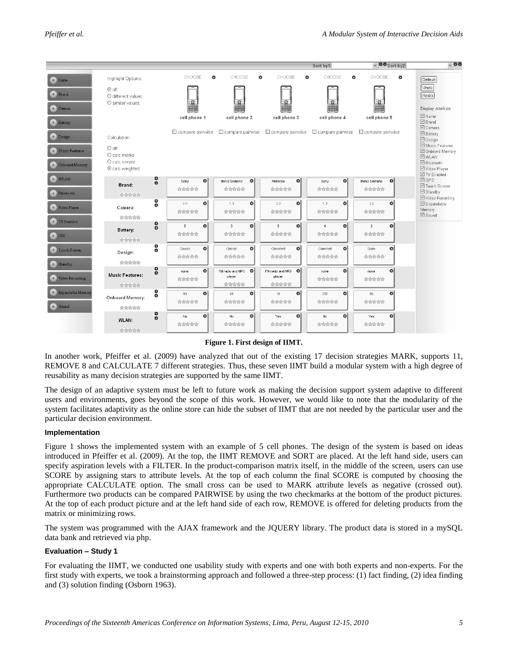|                                      |                                                              |                                        |                                            |                                             | Sort by1:                | $\vee$ 00 Sort by 2:          | $\sim$ 00                                                                                                        |
|--------------------------------------|--------------------------------------------------------------|----------------------------------------|--------------------------------------------|---------------------------------------------|--------------------------|-------------------------------|------------------------------------------------------------------------------------------------------------------|
| $+$ Name                             | Highlight Options:                                           | CHOOSE<br>o                            | CHOOSE<br>o                                | CHOOSE<br>$\boldsymbol{\omega}$             | CHOOSE<br>o              | CHOOSE<br>O                   | Default                                                                                                          |
| $+$ Brand<br>$+$ Camera              | ⊙ off<br>O different values<br>O similar values              | 国                                      | $\frac{1}{2}$                              | 圖                                           | $\frac{1}{2}$            | $\overline{\mathbb{B}}$       | Undo<br>Redo<br>Display Attribute                                                                                |
| $+$ Battery                          |                                                              | cell phone 1                           | cell phone 2                               | cell phone 3                                | cell phone 4             | cell phone 5                  | $\boxdot$ Name<br>$\boxdot$ Brand                                                                                |
| $+$ Design                           | Calculation:                                                 | Compare pairwise                       | Compare pairwise                           | Compare pairwise                            | Compare pairwise         | Compare pairwise              | <b>☑</b> Camera<br>■ Battery<br>$\boxdot$ Design                                                                 |
| + Music Features<br>+ Onboard Memory | O off<br>O calc marks<br>O calc simple<br>C calc weighted    |                                        |                                            |                                             |                          |                               | Music Features<br>Onboard Memory<br><b>V</b> WLAN<br><b>☑</b> Bluetooth<br>© Video Player<br><b>☑</b> TV Enabled |
| $+$ WLAN                             | $\bullet$<br>$\mathbf{o}$<br>Brand:                          | $\bullet$<br>Sony                      | ۰<br>BenQ Siemens                          | ol.<br>Motorola                             | ø۱<br>Sony               | o۱<br>BenQ Siemens            | $\boxdot$ GPS                                                                                                    |
| $+$ Bluetooth                        | 合合合合合                                                        | 食食食食食                                  | 食食食食食                                      | 合合合合合                                       | 合合合合合                    | 含含含含含                         | □ Touch Screen<br>Standby<br>□ Video Recording                                                                   |
| + Video Player                       | o<br>o<br>Camera:<br>食食食食食                                   | $\bullet$<br>2.0<br>含含含含合              | ۵l<br>1.3<br>食食食食食                         | $\boldsymbol{\omega}$<br>2.0<br>合合合合合       | ۵l<br>1.3<br>含含含含含       | ۵l<br>2.0<br>音音音音音            | $\boxdot$ Expandable<br>Memory<br>$\boxdot$ Sound                                                                |
| + TV Enabled                         | 8<br>Battery:                                                | $\bullet$<br>5                         | ۰<br>$\overline{3}$                        | o۱<br>$\overline{5}$                        | ۰<br>$\overline{4}$      | ø۱<br>$\overline{\mathbf{3}}$ |                                                                                                                  |
| $+$ GPS                              | 含含含含合                                                        | 食食食食食                                  | 含含含含含                                      | 含含含含含                                       | 合合合合合                    | 含含含含含                         |                                                                                                                  |
| + Touch Screen<br>$+$ Standby        | ိ<br>Design:<br>含含含含含                                        | $\bullet$<br>Classic<br>食食食食食          | ø۱<br>Classic<br>含含含含含                     | $\boldsymbol{\omega}$<br>Clamshell<br>含含含含含 | ۰<br>Clamshell<br>含含含含含  | ۰<br>Slider<br>食食食食食          |                                                                                                                  |
| + Video Recording                    | $\bullet$<br>$\mathbf{o}$<br><b>Music Features:</b><br>含含含含含 | $\boldsymbol{\omega}$<br>none<br>含含含含合 | o l<br>FM radio and MP3<br>player<br>食食食食食 | ol.<br>FM radio and MP3<br>player<br>含含含含含  | ۰ı<br>none<br>含含含含含      | ۰I<br>none<br>含含含含含           |                                                                                                                  |
| + Expandable Memory<br>$+$ Sound:    | O<br>o<br>Onboard Memory:<br>合合合合合                           | O<br>80<br>食食食食食                       | $\boldsymbol{\omega}$<br>16<br>食食食食食       | $\boldsymbol{\omega}$<br>16<br>含含含含含        | <b>O</b><br>200<br>合合合合合 | ø۱<br>80<br>含含含含含             |                                                                                                                  |
|                                      | $\bullet$<br>$\overline{a}$<br>WLAN:<br>食食食食食                | O<br>No.<br>含含含含合                      | ø۱<br>No.<br>含含含含合                         | ø۱<br>Yes<br>合合合合合                          | o۱<br>No.<br>合合合合合       | ി<br>Yes<br>音音音音音             |                                                                                                                  |

#### **Figure 1. First design of IIMT.**

<span id="page-5-0"></span>In another work, Pfeiffer et al. (2009) have analyzed that out of the existing 17 decision strategies MARK, supports 11, REMOVE 8 and CALCULATE 7 different strategies. Thus, these seven IIMT build a modular system with a high degree of reusability as many decision strategies are supported by the same IIMT.

The design of an adaptive system must be left to future work as making the decision support system adaptive to different users and environments, goes beyond the scope of this work. However, we would like to note that the modularity of the system facilitates adaptivity as the online store can hide the subset of IIMT that are not needed by the particular user and the particular decision environment.

#### **Implementation**

[Figure 1](#page-5-0) shows the implemented system with an example of 5 cell phones. The design of the system is based on ideas introduced in Pfeiffer et al. (2009). At the top, the IIMT REMOVE and SORT are placed. At the left hand side, users can specify aspiration levels with a FILTER. In the product-comparison matrix itself, in the middle of the screen, users can use SCORE by assigning stars to attribute levels. At the top of each column the final SCORE is computed by choosing the appropriate CALCULATE option. The small cross can be used to MARK attribute levels as negative (crossed out). Furthermore two products can be compared PAIRWISE by using the two checkmarks at the bottom of the product pictures. At the top of each product picture and at the left hand side of each row, REMOVE is offered for deleting products from the matrix or minimizing rows.

The system was programmed with the AJAX framework and the JQUERY library. The product data is stored in a mySQL data bank and retrieved via php.

#### **Evaluation – Study 1**

For evaluating the IIMT, we conducted one usability study with experts and one with both experts and non-experts. For the first study with experts, we took a brainstorming approach and followed a three-step process: (1) fact finding, (2) idea finding and (3) solution finding (Osborn 1963).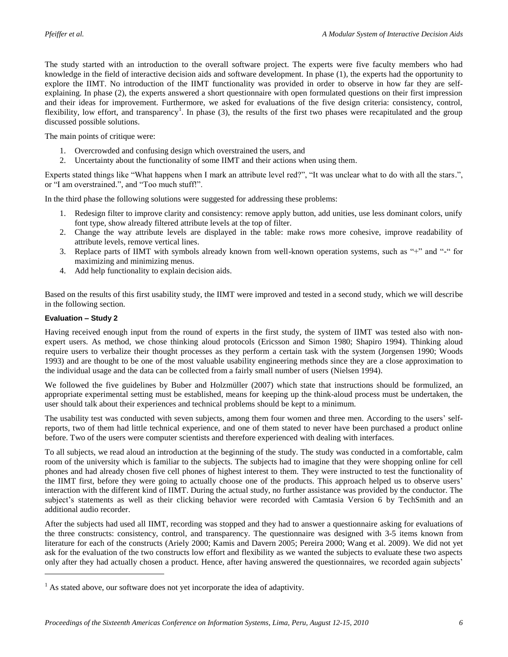The study started with an introduction to the overall software project. The experts were five faculty members who had knowledge in the field of interactive decision aids and software development. In phase (1), the experts had the opportunity to explore the IIMT. No introduction of the IIMT functionality was provided in order to observe in how far they are selfexplaining. In phase (2), the experts answered a short questionnaire with open formulated questions on their first impression and their ideas for improvement. Furthermore, we asked for evaluations of the five design criteria: consistency, control, flexibility, low effort, and transparency<sup>1</sup>. In phase (3), the results of the first two phases were recapitulated and the group discussed possible solutions.

The main points of critique were:

- 1. Overcrowded and confusing design which overstrained the users, and
- 2. Uncertainty about the functionality of some IIMT and their actions when using them.

Experts stated things like "What happens when I mark an attribute level red?", "It was unclear what to do with all the stars.", or "I am overstrained.", and "Too much stuff!".

In the third phase the following solutions were suggested for addressing these problems:

- 1. Redesign filter to improve clarity and consistency: remove apply button, add unities, use less dominant colors, unify font type, show already filtered attribute levels at the top of filter.
- 2. Change the way attribute levels are displayed in the table: make rows more cohesive, improve readability of attribute levels, remove vertical lines.
- 3. Replace parts of IIMT with symbols already known from well-known operation systems, such as "+" and "-" for maximizing and minimizing menus.
- 4. Add help functionality to explain decision aids.

Based on the results of this first usability study, the IIMT were improved and tested in a second study, which we will describe in the following section.

#### **Evaluation – Study 2**

 $\overline{a}$ 

Having received enough input from the round of experts in the first study, the system of IIMT was tested also with nonexpert users. As method, we chose thinking aloud protocols (Ericsson and Simon 1980; Shapiro 1994). Thinking aloud require users to verbalize their thought processes as they perform a certain task with the system (Jorgensen 1990; Woods 1993) and are thought to be one of the most valuable usability engineering methods since they are a close approximation to the individual usage and the data can be collected from a fairly small number of users (Nielsen 1994).

We followed the five guidelines by Buber and Holzmüller (2007) which state that instructions should be formulized, an appropriate experimental setting must be established, means for keeping up the think-aloud process must be undertaken, the user should talk about their experiences and technical problems should be kept to a minimum.

The usability test was conducted with seven subjects, among them four women and three men. According to the users' selfreports, two of them had little technical experience, and one of them stated to never have been purchased a product online before. Two of the users were computer scientists and therefore experienced with dealing with interfaces.

To all subjects, we read aloud an introduction at the beginning of the study. The study was conducted in a comfortable, calm room of the university which is familiar to the subjects. The subjects had to imagine that they were shopping online for cell phones and had already chosen five cell phones of highest interest to them. They were instructed to test the functionality of the IIMT first, before they were going to actually choose one of the products. This approach helped us to observe users' interaction with the different kind of IIMT. During the actual study, no further assistance was provided by the conductor. The subject's statements as well as their clicking behavior were recorded with Camtasia Version 6 by TechSmith and an additional audio recorder.

After the subjects had used all IIMT, recording was stopped and they had to answer a questionnaire asking for evaluations of the three constructs: consistency, control, and transparency. The questionnaire was designed with 3-5 items known from literature for each of the constructs (Ariely 2000; Kamis and Davern 2005; Pereira 2000; Wang et al. 2009). We did not yet ask for the evaluation of the two constructs low effort and flexibility as we wanted the subjects to evaluate these two aspects only after they had actually chosen a product. Hence, after having answered the questionnaires, we recorded again subjects'

 $1$  As stated above, our software does not yet incorporate the idea of adaptivity.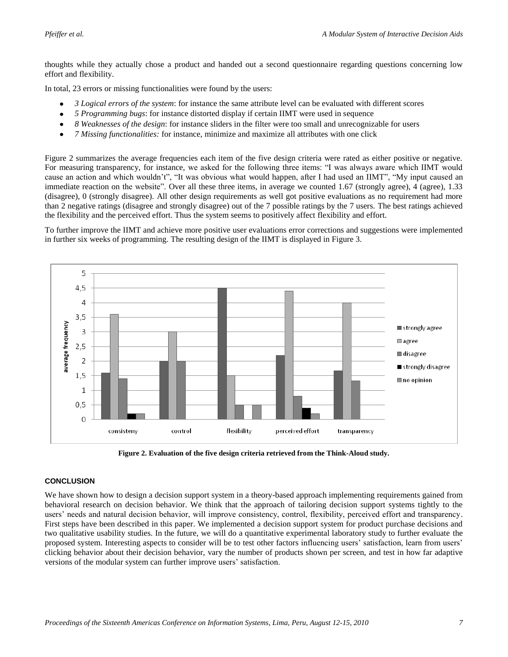thoughts while they actually chose a product and handed out a second questionnaire regarding questions concerning low effort and flexibility.

In total, 23 errors or missing functionalities were found by the users:

- *3 Logical errors of the system*: for instance the same attribute level can be evaluated with different scores
- *5 Programming bugs*: for instance distorted display if certain IIMT were used in sequence
- *8 Weaknesses of the design*: for instance sliders in the filter were too small and unrecognizable for users  $\bullet$
- *7 Missing functionalities:* for instance, minimize and maximize all attributes with one click

[Figure 2](#page-7-0) summarizes the average frequencies each item of the five design criteria were rated as either positive or negative. For measuring transparency, for instance, we asked for the following three items: "I was always aware which IIMT would cause an action and which wouldn't", "It was obvious what would happen, after I had used an IIMT", "My input caused an immediate reaction on the website". Over all these three items, in average we counted 1.67 (strongly agree), 4 (agree), 1.33 (disagree), 0 (strongly disagree). All other design requirements as well got positive evaluations as no requirement had more than 2 negative ratings (disagree and strongly disagree) out of the 7 possible ratings by the 7 users. The best ratings achieved the flexibility and the perceived effort. Thus the system seems to positively affect flexibility and effort.

To further improve the IIMT and achieve more positive user evaluations error corrections and suggestions were implemented in further six weeks of programming. The resulting design of the IIMT is displayed in [Figure 3.](#page-8-0)



**Figure 2. Evaluation of the five design criteria retrieved from the Think-Aloud study.**

#### <span id="page-7-0"></span>**CONCLUSION**

We have shown how to design a decision support system in a theory-based approach implementing requirements gained from behavioral research on decision behavior. We think that the approach of tailoring decision support systems tightly to the users' needs and natural decision behavior, will improve consistency, control, flexibility, perceived effort and transparency. First steps have been described in this paper. We implemented a decision support system for product purchase decisions and two qualitative usability studies. In the future, we will do a quantitative experimental laboratory study to further evaluate the proposed system. Interesting aspects to consider will be to test other factors influencing users' satisfaction, learn from users' clicking behavior about their decision behavior, vary the number of products shown per screen, and test in how far adaptive versions of the modular system can further improve users' satisfaction.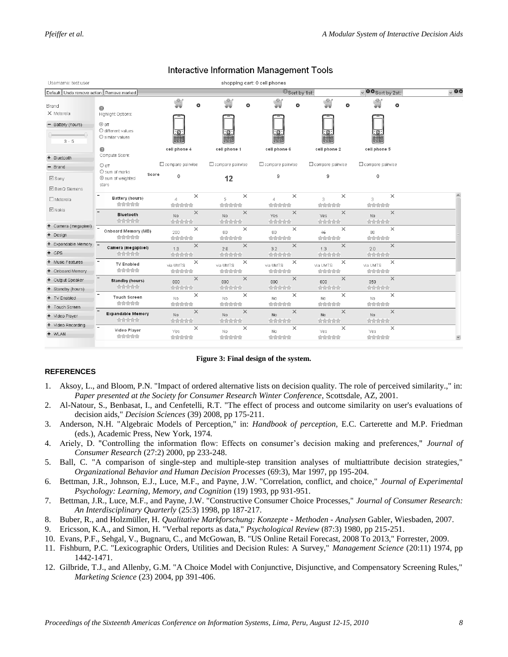| Username: test user                               |                                                                                   |                              |                    | shopping cart: 0 cell phones  |                                        |                            |           |
|---------------------------------------------------|-----------------------------------------------------------------------------------|------------------------------|--------------------|-------------------------------|----------------------------------------|----------------------------|-----------|
| Default Undo remove action Remove marked          |                                                                                   |                              |                    |                               | <sup>O</sup> Sort by 1st:              | $\vee$ 00 Sort by 2st:     | $\sim$ 00 |
| Brand<br>X Motorola<br>Battery (hours)<br>$3 - 5$ | 0<br>Highlight Options:<br><b>O</b> nff<br>O different values<br>O similar values | Ś<br>O<br>$\frac{1}{2}$      | O<br>$\frac{1}{2}$ | O<br>$\Box$<br>H.             | ġ<br>O<br>$\overline{\mathbb{D}}$<br>H | O<br>$\frac{1}{2}$         |           |
| + Bluetooth                                       | ⋒<br>Compute Score:                                                               | cell phone 4                 | cell phone 1       | cell phone 6                  | cell phone 2                           | cell phone 5               |           |
| - Brand                                           | $\circ$ off                                                                       | Compare pairwise             | Compare pairwise   | Compare pairwise              | Compare pairwise                       | Compare pairwise           |           |
| $\boxdot$ Sony                                    | O sum of marks<br>Score<br>Sum of weighted<br>stars                               | $\mathbf 0$                  | 12                 | 9                             | 9                                      | $\mathbf 0$                |           |
| <b>☑</b> BenQ Siemens                             |                                                                                   |                              |                    |                               |                                        |                            |           |
| $\Box$ Motorola                                   | $\overline{\phantom{a}}$<br>Battery (hours)<br>合合合合合                              | ×<br>$\overline{4}$<br>合合合合合 | ×<br>5<br>合合合合合    | $\times$<br>$\Delta$<br>合合合合合 | ×<br>3<br>合合合合合                        | $\times$<br>3.<br>合合合合合    |           |
| $\boxdot$ Nokia                                   | <b>Bluetooth</b><br>食食食食食                                                         | $\times$<br>No<br>合合合合合      | $\times$<br>No     | $\times$<br>Yes<br>合合合合合      | $\times$<br>Yes                        | $\times$<br>No             |           |
| + Camera (megapixel)                              |                                                                                   | $\times$                     | 合合合合合<br>$\times$  | $\times$                      | 合合合合合<br>$\times$                      | 合合合合合<br>$\times$          |           |
| + Design                                          | Onboard Memory (MB)<br>合合合合合                                                      | 200<br>合合合合合                 | 80<br>合合合合合        | 80<br>合合合合合                   | 46<br>合合合合合                            | 80<br>合合合合合                |           |
| + Expandable Memory -                             | Camera (megapixel)                                                                | $\times$<br>1.3              | $\times$<br>2.0    | $\times$<br>32                | $\times$<br>1.3                        | $\times$<br>2 <sub>0</sub> |           |
| $+$ GPS                                           | 食食食食食                                                                             | 食食食食食                        | 合合合合合              | 合合合合合                         | 食食食食食                                  | 合合合合合                      |           |
| + Music Features                                  | $\qquad \qquad -$<br><b>TV Enabled</b>                                            | ×<br>via UMTS                | ×<br>via UMTS      | ×<br>via UMTS                 | $\times$<br>via UMTS                   | ×<br>via UMTS              |           |
| + Onboard Memory                                  | 食食食食食                                                                             | 合合合合合                        | 合合合合合              | 合合合合合                         | 食食食食食                                  | 合合合合合                      |           |
| + Output Speaker                                  | Standby (hours)                                                                   | $\times$<br>800              | $\times$<br>800    | $\times$<br>800               | $\times$<br>800                        | $\times$<br>350            |           |
| + Standby (hours)                                 | 合合合合合<br>$\overline{\phantom{a}}$                                                 | 合合合合合<br>$\times$            | 合合合合合              | 合合合合合<br>$\times$             | 食食食食食<br>$\times$                      | 合合合合合<br>$\times$          |           |
| + TV Enabled                                      | <b>Touch Screen</b><br>合合合合合                                                      | Nn.                          | $\times$<br>No.    | No.                           | No.                                    | No.                        |           |
| + Touch Screen                                    |                                                                                   | 合合合合合<br>$\times$            | 食食食食食<br>$\times$  | 合合合合合<br>$\times$             | 食食食食食<br>$\times$                      | 合合合合合<br>$\times$          |           |
| + Video Player                                    | <b>Expandable Memory</b><br>合合合合合                                                 | No.<br>食食食食食                 | No.<br>食食食食食       | No.<br>食食食食食                  | No.<br>食食食食食                           | No.<br>食食食食食               |           |
| + Video Recording                                 | $\overline{\phantom{a}}$<br>Video Player                                          | $\times$                     | $\times$           | $\times$                      | $\times$                               | $\times$                   |           |
| $+$ WLAN                                          | 合合合合合                                                                             | Yes<br>合合合合合                 | No.<br>合合合合合       | No.<br>合合合合合                  | Yes.<br>合合合合合                          | Yes.<br>合合合合合              |           |

### Interactive Information Management Tools

**Figure 3: Final design of the system.**

#### <span id="page-8-0"></span>**REFERENCES**

- 1. Aksoy, L., and Bloom, P.N. "Impact of ordered alternative lists on decision quality. The role of perceived similarity.," in: *Paper presented at the Society for Consumer Research Winter Conference*, Scottsdale, AZ, 2001.
- 2. Al-Natour, S., Benbasat, I., and Cenfetelli, R.T. "The effect of process and outcome similarity on user's evaluations of decision aids," *Decision Sciences* (39) 2008, pp 175-211.
- 3. Anderson, N.H. "Algebraic Models of Perception," in: *Handbook of perception,* E.C. Carterette and M.P. Friedman (eds.), Academic Press, New York, 1974.
- 4. Ariely, D. "Controlling the information flow: Effects on consumer's decision making and preferences," *Journal of Consumer Research* (27:2) 2000, pp 233-248.
- 5. Ball, C. "A comparison of single-step and multiple-step transition analyses of multiattribute decision strategies," *Organizational Behavior and Human Decision Processes* (69:3), Mar 1997, pp 195-204.
- 6. Bettman, J.R., Johnson, E.J., Luce, M.F., and Payne, J.W. "Correlation, conflict, and choice," *Journal of Experimental Psychology: Learning, Memory, and Cognition* (19) 1993, pp 931-951.
- 7. Bettman, J.R., Luce, M.F., and Payne, J.W. "Constructive Consumer Choice Processes," *Journal of Consumer Research: An Interdisciplinary Quarterly* (25:3) 1998, pp 187-217.
- 8. Buber, R., and Holzmüller, H. *Qualitative Markforschung: Konzepte - Methoden - Analysen* Gabler, Wiesbaden, 2007.
- 9. Ericsson, K.A., and Simon, H. "Verbal reports as data," *Psychological Review* (87:3) 1980, pp 215-251.
- 10. Evans, P.F., Sehgal, V., Bugnaru, C., and McGowan, B. "US Online Retail Forecast, 2008 To 2013," Forrester, 2009.
- 11. Fishburn, P.C. "Lexicographic Orders, Utilities and Decision Rules: A Survey," *Management Science* (20:11) 1974, pp 1442-1471.
- 12. Gilbride, T.J., and Allenby, G.M. "A Choice Model with Conjunctive, Disjunctive, and Compensatory Screening Rules," *Marketing Science* (23) 2004, pp 391-406.